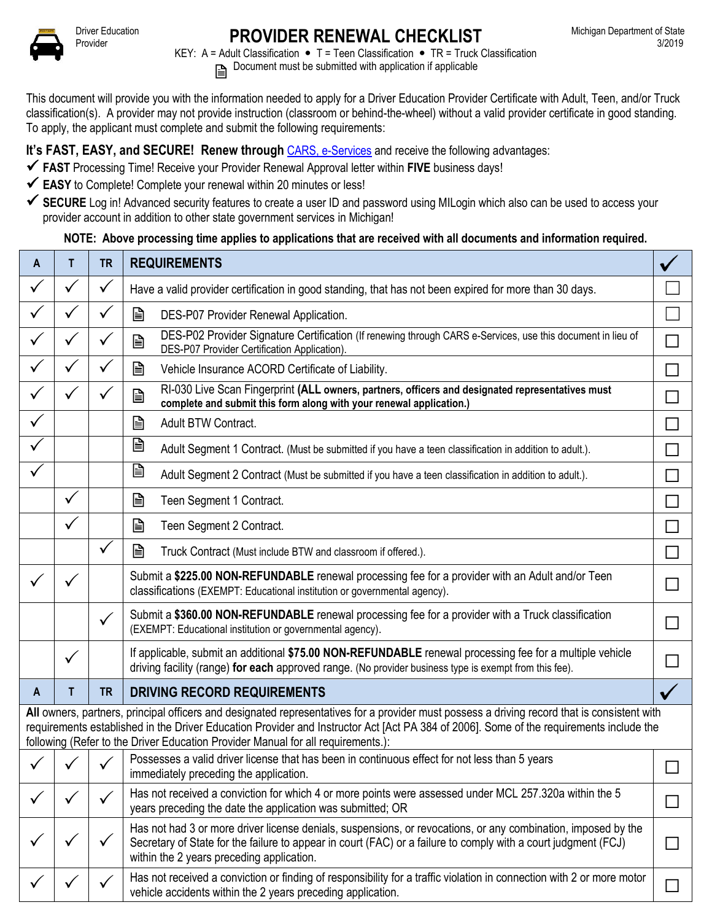

## Provider **PROVIDER RENEWAL CHECKLIST**

KEY: A = Adult Classification  $\bullet$  T = Teen Classification  $\bullet$  TR = Truck Classification Document must be submitted with application if applicable

This document will provide you with the information needed to apply for a Driver Education Provider Certificate with Adult, Teen, and/or Truck classification(s). A provider may not provide instruction (classroom or behind-the-wheel) without a valid provider certificate in good standing. To apply, the applicant must complete and submit the following requirements:

**It's FAST, EASY, and SECURE! Renew through** [CARS, e-Services](https://dsvsesvc.sos.state.mi.us/TAP/_/) and receive the following advantages:

- ✓ **FAST** Processing Time! Receive your Provider Renewal Approval letter within **FIVE** business days!
- ✓ **EASY** to Complete! Complete your renewal within 20 minutes or less!
- ✓ **SECURE** Log in! Advanced security features to create a user ID and password using MILogin which also can be used to access your provider account in addition to other state government services in Michigan!

## **NOTE: Above processing time applies to applications that are received with all documents and information required.**

| A                                                                                                                                                                                                                                                                                                                                                                          | Τ            | <b>TR</b>    | <b>REQUIREMENTS</b>                                                                                                                                                                                                                                                          |                             |  |  |
|----------------------------------------------------------------------------------------------------------------------------------------------------------------------------------------------------------------------------------------------------------------------------------------------------------------------------------------------------------------------------|--------------|--------------|------------------------------------------------------------------------------------------------------------------------------------------------------------------------------------------------------------------------------------------------------------------------------|-----------------------------|--|--|
| ✓                                                                                                                                                                                                                                                                                                                                                                          | ✓            | $\checkmark$ | Have a valid provider certification in good standing, that has not been expired for more than 30 days.                                                                                                                                                                       |                             |  |  |
|                                                                                                                                                                                                                                                                                                                                                                            |              | ✓            | ₿<br>DES-P07 Provider Renewal Application.                                                                                                                                                                                                                                   |                             |  |  |
|                                                                                                                                                                                                                                                                                                                                                                            |              | ✓            | DES-P02 Provider Signature Certification (If renewing through CARS e-Services, use this document in lieu of<br>B<br>DES-P07 Provider Certification Application).                                                                                                             | I.                          |  |  |
|                                                                                                                                                                                                                                                                                                                                                                            | ✓            | ✓            | B<br>Vehicle Insurance ACORD Certificate of Liability.                                                                                                                                                                                                                       |                             |  |  |
|                                                                                                                                                                                                                                                                                                                                                                            | √            |              | RI-030 Live Scan Fingerprint (ALL owners, partners, officers and designated representatives must<br>B<br>complete and submit this form along with your renewal application.)                                                                                                 | $\mathcal{L}_{\mathcal{A}}$ |  |  |
|                                                                                                                                                                                                                                                                                                                                                                            |              |              | 囼<br>Adult BTW Contract.                                                                                                                                                                                                                                                     | $\mathbf{L}$                |  |  |
|                                                                                                                                                                                                                                                                                                                                                                            |              |              | B<br>Adult Segment 1 Contract. (Must be submitted if you have a teen classification in addition to adult.).                                                                                                                                                                  |                             |  |  |
|                                                                                                                                                                                                                                                                                                                                                                            |              |              | ▤<br>Adult Segment 2 Contract (Must be submitted if you have a teen classification in addition to adult.).                                                                                                                                                                   |                             |  |  |
|                                                                                                                                                                                                                                                                                                                                                                            | $\checkmark$ |              | B<br>Teen Segment 1 Contract.                                                                                                                                                                                                                                                |                             |  |  |
|                                                                                                                                                                                                                                                                                                                                                                            | $\checkmark$ |              | B<br>Teen Segment 2 Contract.                                                                                                                                                                                                                                                |                             |  |  |
|                                                                                                                                                                                                                                                                                                                                                                            |              | $\checkmark$ | β<br>Truck Contract (Must include BTW and classroom if offered.).                                                                                                                                                                                                            | $\mathbf{L}$                |  |  |
|                                                                                                                                                                                                                                                                                                                                                                            |              |              | Submit a \$225.00 NON-REFUNDABLE renewal processing fee for a provider with an Adult and/or Teen<br>classifications (EXEMPT: Educational institution or governmental agency).                                                                                                |                             |  |  |
|                                                                                                                                                                                                                                                                                                                                                                            |              | $\checkmark$ | Submit a \$360.00 NON-REFUNDABLE renewal processing fee for a provider with a Truck classification<br>(EXEMPT: Educational institution or governmental agency).                                                                                                              |                             |  |  |
|                                                                                                                                                                                                                                                                                                                                                                            | $\checkmark$ |              | If applicable, submit an additional \$75.00 NON-REFUNDABLE renewal processing fee for a multiple vehicle<br>driving facility (range) for each approved range. (No provider business type is exempt from this fee).                                                           |                             |  |  |
| A                                                                                                                                                                                                                                                                                                                                                                          | т            | <b>TR</b>    | <b>DRIVING RECORD REQUIREMENTS</b>                                                                                                                                                                                                                                           |                             |  |  |
| All owners, partners, principal officers and designated representatives for a provider must possess a driving record that is consistent with<br>requirements established in the Driver Education Provider and Instructor Act [Act PA 384 of 2006]. Some of the requirements include the<br>following (Refer to the Driver Education Provider Manual for all requirements.) |              |              |                                                                                                                                                                                                                                                                              |                             |  |  |
|                                                                                                                                                                                                                                                                                                                                                                            |              |              | Possesses a valid driver license that has been in continuous effect for not less than 5 years<br>immediately preceding the application.                                                                                                                                      |                             |  |  |
|                                                                                                                                                                                                                                                                                                                                                                            |              |              | Has not received a conviction for which 4 or more points were assessed under MCL 257.320a within the 5<br>years preceding the date the application was submitted; OR                                                                                                         |                             |  |  |
|                                                                                                                                                                                                                                                                                                                                                                            |              | $\checkmark$ | Has not had 3 or more driver license denials, suspensions, or revocations, or any combination, imposed by the<br>Secretary of State for the failure to appear in court (FAC) or a failure to comply with a court judgment (FCJ)<br>within the 2 years preceding application. |                             |  |  |
|                                                                                                                                                                                                                                                                                                                                                                            |              |              | Has not received a conviction or finding of responsibility for a traffic violation in connection with 2 or more motor<br>vehicle accidents within the 2 years preceding application.                                                                                         |                             |  |  |